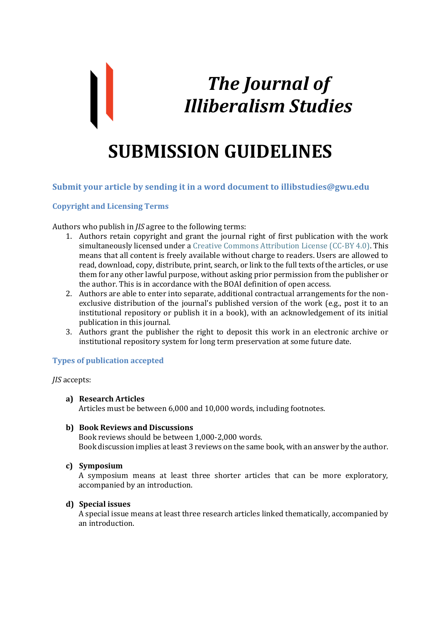# *The Journal of Illiberalism Studies*

# **SUBMISSION GUIDELINES**

# **Submit your article by sending it in a word document to illibstudies@gwu.edu**

# **Copyright and Licensing Terms**

Authors who publish in *JIS* agree to the following terms:

- 1. Authors retain copyright and grant the journal right of first publication with the work simultaneously licensed under a [Creative Commons Attribution License \(CC-BY 4.0\).](http://creativecommons.org/licenses/by/4.0/) This means that all content is freely available without charge to readers. Users are allowed to read, download, copy, distribute, print, search, or link to the full texts of the articles, or use them for any other lawful purpose, without asking prior permission from the publisher or the author. This is in accordance with the BOAI definition of open access.
- 2. Authors are able to enter into separate, additional contractual arrangements for the nonexclusive distribution of the journal's published version of the work (e.g., post it to an institutional repository or publish it in a book), with an acknowledgement of its initial publication in this journal.
- 3. Authors grant the publisher the right to deposit this work in an electronic archive or institutional repository system for long term preservation at some future date.

#### **Types of publication accepted**

*JIS* accepts:

- **a) Research Articles** Articles must be between 6,000 and 10,000 words, including footnotes.
- **b) Book Reviews and Discussions**

Book reviews should be between 1,000-2,000 words. Book discussion implies at least 3 reviews on the same book, with an answer by the author.

**c) Symposium** 

A symposium means at least three shorter articles that can be more exploratory, accompanied by an introduction.

#### **d) Special issues**

A special issue means at least three research articles linked thematically, accompanied by an introduction.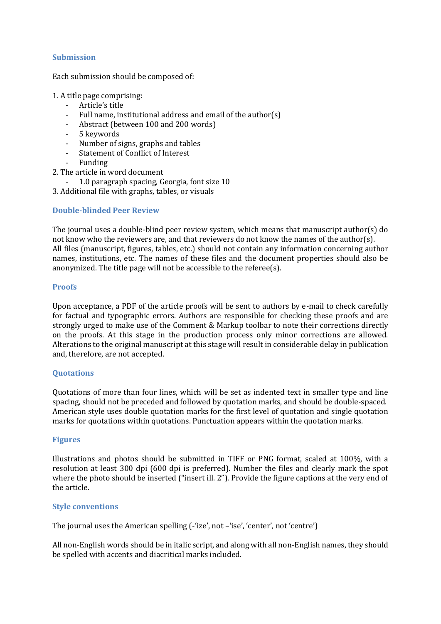# **Submission**

Each submission should be composed of:

1. A title page comprising:

- Article's title
- Full name, institutional address and email of the author(s)
- Abstract (between 100 and 200 words)
- 5 keywords
- Number of signs, graphs and tables
- Statement of Conflict of Interest
- Funding
- 2. The article in word document
	- 1.0 paragraph spacing, Georgia, font size 10
- 3. Additional file with graphs, tables, or visuals

# **Double-blinded Peer Review**

The journal uses a double-blind peer review system, which means that manuscript author(s) do not know who the reviewers are, and that reviewers do not know the names of the author(s). All files (manuscript, figures, tables, etc.) should not contain any information concerning author names, institutions, etc. The names of these files and the document properties should also be anonymized. The title page will not be accessible to the referee(s).

#### **Proofs**

Upon acceptance, a PDF of the article proofs will be sent to authors by e-mail to check carefully for factual and typographic errors. Authors are responsible for checking these proofs and are strongly urged to make use of the Comment & Markup toolbar to note their corrections directly on the proofs. At this stage in the production process only minor corrections are allowed. Alterations to the original manuscript at this stage will result in considerable delay in publication and, therefore, are not accepted.

#### **Quotations**

Quotations of more than four lines, which will be set as indented text in smaller type and line spacing, should not be preceded and followed by quotation marks, and should be double-spaced. American style uses double quotation marks for the first level of quotation and single quotation marks for quotations within quotations. Punctuation appears within the quotation marks.

#### **Figures**

Illustrations and photos should be submitted in TIFF or PNG format, scaled at 100%, with a resolution at least 300 dpi (600 dpi is preferred). Number the files and clearly mark the spot where the photo should be inserted ("insert ill. 2"). Provide the figure captions at the very end of the article.

#### **Style conventions**

The journal uses the American spelling (-'ize', not –'ise', 'center', not 'centre')

All non-English words should be in italic script, and along with all non-English names, they should be spelled with accents and diacritical marks included.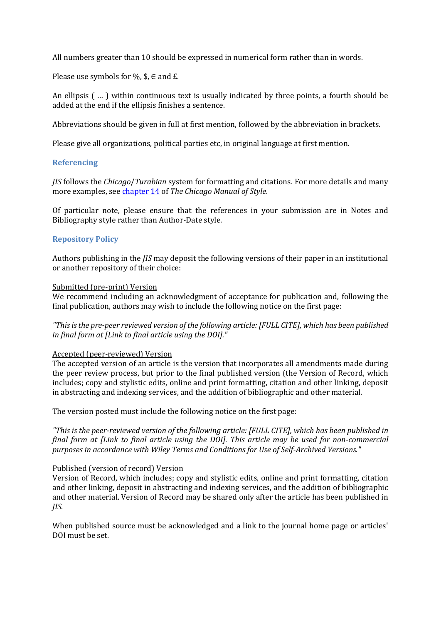All numbers greater than 10 should be expressed in numerical form rather than in words.

Please use symbols for %,  $\$ ,  $\in$  and  $E$ .

An ellipsis ( … ) within continuous text is usually indicated by three points, a fourth should be added at the end if the ellipsis finishes a sentence.

Abbreviations should be given in full at first mention, followed by the abbreviation in brackets.

Please give all organizations, political parties etc, in original language at first mention.

# **Referencing**

*JIS* follows the *Chicago*/*Turabian* system for formatting and citations. For more details and many more examples, see [chapter 14](http://www.chicagomanualofstyle.org/16/ch14/ch14_toc.html) of *The Chicago Manual of Style*.

Of particular note, please ensure that the references in your submission are in Notes and Bibliography style rather than Author-Date style.

# **Repository Policy**

Authors publishing in the *JIS* may deposit the following versions of their paper in an institutional or another repository of their choice:

#### Submitted (pre-print) Version

We recommend including an acknowledgment of acceptance for publication and, following the final publication, authors may wish to include the following notice on the first page:

*"This is the pre-peer reviewed version of the following article: [FULL CITE], which has been published in final form at [Link to final article using the DOI]."*

#### Accepted (peer-reviewed) Version

The accepted version of an article is the version that incorporates all amendments made during the peer review process, but prior to the final published version (the Version of Record, which includes; copy and stylistic edits, online and print formatting, citation and other linking, deposit in abstracting and indexing services, and the addition of bibliographic and other material.

The version posted must include the following notice on the first page:

*"This is the peer-reviewed version of the following article: [FULL CITE], which has been published in final form at [Link to final article using the DOI]. This article may be used for non-commercial purposes in accordance with Wiley Terms and Conditions for Use of Self-Archived Versions."*

#### Published (version of record) Version

Version of Record, which includes; copy and stylistic edits, online and print formatting, citation and other linking, deposit in abstracting and indexing services, and the addition of bibliographic and other material. Version of Record may be shared only after the article has been published in *JIS*.

When published source must be acknowledged and a link to the journal home page or articles' DOI must be set.